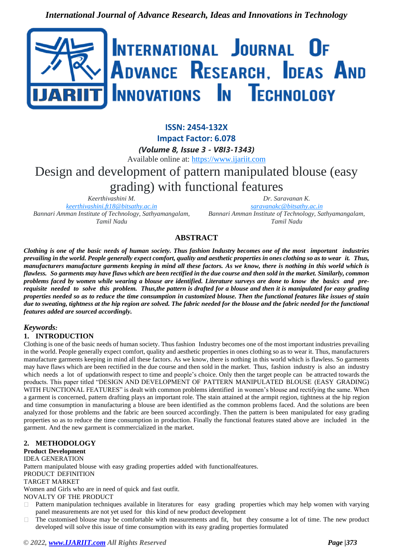

**ISSN: 2454-132X Impact Factor: 6.078** *(Volume 8, Issue 3 - V8I3-1343)* Available online at: [https://www.ijariit.com](https://www.ijariit.com/?utm_source=pdf&utm_medium=edition&utm_campaign=OmAkSols&utm_term=V8I3-1343) Design and development of pattern manipulated blouse (easy grading) with functional features

*Keerthivashini M. [keerthivashini.ft18@bitsathy.ac.in](mailto:keerthivashini.ft18@bitsathy.ac.in) Bannari Amman Institute of Technology, Sathyamangalam, Tamil Nadu*

*Dr. Saravanan K. [saravanakc@bitsathy.ac.in](mailto:saravanakc@bitsathy.ac.in) Bannari Amman Institute of Technology, Sathyamangalam, Tamil Nadu*

# **ABSTRACT**

Clothing is one of the basic needs of human society. Thus fashion Industry becomes one of the most important industries *prevailing in the world. People generally expect comfort, quality and aesthetic properties in ones clothing so as to wear it. Thus, manufacturers manufacture garments keeping in mind all these factors. As we know, there is nothing in this world which is flawless. So garments may have flaws which are been rectified in the due course and then sold in the market. Similarly, common problems faced by women while wearing a blouse are identified. Literature surveys are done to know the basics and prerequisite needed to solve this problem. Thus,the pattern is drafted for a blouse and then it is manipulated for easy grading properties needed so as to reduce the time consumption in customized blouse. Then the functional features like issues of stain due to sweating, tightness at the hip region are solved. The fabric needed for the blouse and the fabric needed for the functional features added are sourced accordingly.*

# *Keywords:*

# **1. INTRODUCTION**

Clothing is one of the basic needs of human society. Thus fashion Industry becomes one of the most important industries prevailing in the world. People generally expect comfort, quality and aesthetic properties in ones clothing so as to wear it. Thus, manufacturers manufacture garments keeping in mind all these factors. As we know, there is nothing in this world which is flawless. So garments may have flaws which are been rectified in the due course and then sold in the market. Thus, fashion industry is also an industry which needs a lot of updationwith respect to time and people's choice. Only then the target people can be attracted towards the products. This paper titled "DESIGN AND DEVELOPMENT OF PATTERN MANIPULATED BLOUSE (EASY GRADING) WITH FUNCTIONAL FEATURES" is dealt with common problems identified in women's blouse and rectifying the same. When a garment is concerned, pattern drafting plays an important role. The stain attained at the armpit region, tightness at the hip region and time consumption in manufacturing a blouse are been identified as the common problems faced. And the solutions are been analyzed for those problems and the fabric are been sourced accordingly. Then the pattern is been manipulated for easy grading properties so as to reduce the time consumption in production. Finally the functional features stated above are included in the garment. And the new garment is commercialized in the market.

### **2. METHODOLOGY**

### **Product Development**

IDEA GENERATION

Pattern manipulated blouse with easy grading properties added with functionalfeatures.

#### PRODUCT DEFINITION

TARGET MARKET

Women and Girls who are in need of quick and fast outfit.

NOVALTY OF THE PRODUCT

- $\Box$ Pattern manipulation techniques available in literatures for easy grading properties which may help women with varying panel measurements are not yet used for this kind of new product development
- The customised blouse may be comfortable with measurements and fit, but they consume a lot of time. The new product developed will solve this issue of time consumption with its easy grading properties formulated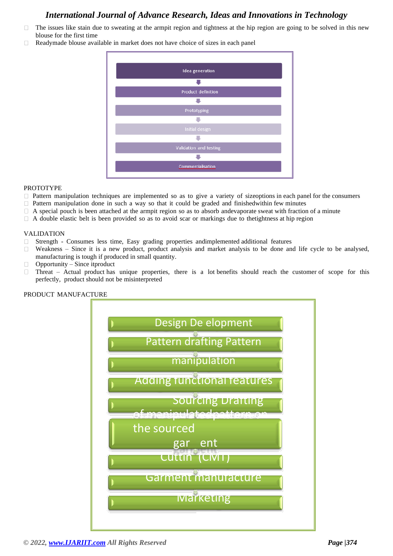- The issues like stain due to sweating at the armpit region and tightness at the hip region are going to be solved in this new  $\Box$ blouse for the first time
- Readymade blouse available in market does not have choice of sizes in each panel



### PROTOTYPE

- Pattern manipulation techniques are implemented so as to give a variety of sizeoptions in each panel for the consumers  $\Box$
- Pattern manipulation done in such a way so that it could be graded and finishedwithin few minutes
- A special pouch is been attached at the armpit region so as to absorb andevaporate sweat with fraction of a minute  $\Box$
- $\Box$  A double elastic belt is been provided so as to avoid scar or markings due to thetightness at hip region

### VALIDATION

- Strength Consumes less time, Easy grading properties andimplemented additional features
- Weakness Since it is a new product, product analysis and market analysis to be done and life cycle to be analysed, manufacturing is tough if produced in small quantity.
- Opportunity Since itproduct  $\Box$
- Threat Actual product has unique properties, there is a lot benefits should reach the customer of scope for this  $\Box$ perfectly, product should not be misinterpreted



#### PRODUCT MANUFACTURE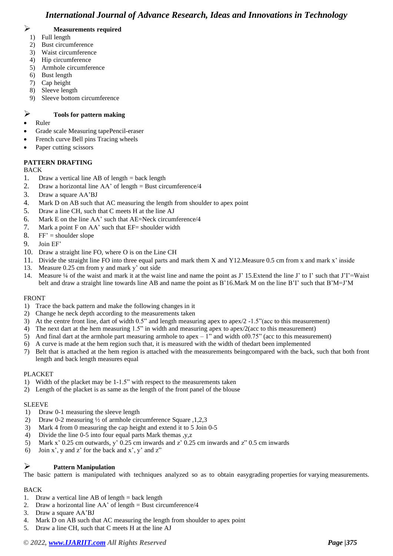# ➢ **Measurements required**

- 1) Full length
- 2) Bust circumference
- 3) Waist circumference
- 4) Hip circumference
- 5) Armhole circumference
- 6) Bust length
- 7) Cap height
- 8) Sleeve length
- 9) Sleeve bottom circumference

# ➢ **Tools for pattern making**

- Ruler
- Grade scale Measuring tapePencil-eraser
- French curve Bell pins Tracing wheels
- Paper cutting scissors

## **PATTERN DRAFTING**

### BACK

- 1. Draw a vertical line AB of length  $=$  back length
- 2. Draw a horizontal line  $AA'$  of length = Bust circumference/4
- 3. Draw a square AA'BJ
- 4. Mark D on AB such that AC measuring the length from shoulder to apex point
- 5. Draw a line CH, such that C meets H at the line AJ
- 6. Mark E on the line AA' such that AE=Neck circumference/4
- 7. Mark a point F on AA' such that EF= shoulder width
- 8.  $FF' =$  shoulder slope
- 9. Join EF'
- 10. Draw a straight line FO, where O is on the Line CH
- 11. Divide the straight line FO into three equal parts and mark them X and Y12.Measure 0.5 cm from x and mark x' inside
- 13. Measure 0.25 cm from y and mark y' out side
- 14. Measure ¼ of the waist and mark it at the waist line and name the point as J' 15.Extend the line J' to I' such that J'I'=Waist belt and draw a straight line towards line AB and name the point as B'16.Mark M on the line B'I' such that B'M=J'M

### FRONT

- 1) Trace the back pattern and make the following changes in it
- 2) Change he neck depth according to the measurements taken
- 3) At the centre front line, dart of width 0.5" and length measuring apex to apex/2 -1.5"(acc to this measurement)
- 4) The next dart at the hem measuring 1.5" in width and measuring apex to apex/2(acc to this measurement)
- 5) And final dart at the armhole part measuring armhole to apex  $-1$ " and width of 0.75" (acc to this measurement)
- 6) A curve is made at the hem region such that, it is measured with the width of thedart been implemented
- 7) Belt that is attached at the hem region is attached with the measurements beingcompared with the back, such that both front length and back length measures equal

### PLACKET

- 1) Width of the placket may be 1-1.5" with respect to the measurements taken
- 2) Length of the placket is as same as the length of the front panel of the blouse

### SLEEVE

- 1) Draw 0-1 measuring the sleeve length
- 2) Draw 0-2 measuring ½ of armhole circumference Square ,1,2,3
- 3) Mark 4 from 0 measuring the cap height and extend it to 5 Join 0-5
- 4) Divide the line 0-5 into four equal parts Mark themas ,y,z
- 5) Mark x' 0.25 cm outwards, y' 0.25 cm inwards and z' 0.25 cm inwards and z" 0.5 cm inwards
- 6) Join x', y and z' for the back and x', y' and z"

### ➢ **Pattern Manipulation**

The basic pattern is manipulated with techniques analyzed so as to obtain easygrading properties for varying measurements.

### BACK

- 1. Draw a vertical line AB of length = back length
- 2. Draw a horizontal line  $AA'$  of length = Bust circumference/4
- 3. Draw a square AA'BJ
- 4. Mark D on AB such that AC measuring the length from shoulder to apex point
- 5. Draw a line CH, such that C meets H at the line AJ

# *© 2022[, www.IJARIIT.com](file:///C:/omak/Downloads/www.IJARIIT.com) All Rights Reserved Page |375*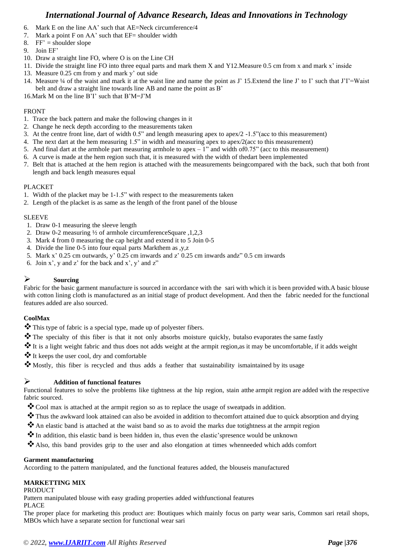- 6. Mark E on the line AA' such that AE=Neck circumference/4
- 7. Mark a point  $F$  on AA' such that  $EF =$  shoulder width
- 8.  $FF' =$  shoulder slope
- 9. Join EF'
- 10. Draw a straight line FO, where O is on the Line CH
- 11. Divide the straight line FO into three equal parts and mark them X and Y12.Measure 0.5 cm from x and mark x' inside
- 13. Measure 0.25 cm from y and mark y' out side
- 14. Measure ¼ of the waist and mark it at the waist line and name the point as J' 15.Extend the line J' to I' such that J'I'=Waist belt and draw a straight line towards line AB and name the point as B'
- 16.Mark M on the line B'I' such that B'M=J'M

### FRONT

- 1. Trace the back pattern and make the following changes in it
- 2. Change he neck depth according to the measurements taken
- 3. At the centre front line, dart of width 0.5" and length measuring apex to apex/2 -1.5"(acc to this measurement)
- 4. The next dart at the hem measuring 1.5" in width and measuring apex to apex/2(acc to this measurement)
- 5. And final dart at the armhole part measuring armhole to apex 1" and width of0.75" (acc to this measurement)
- 6. A curve is made at the hem region such that, it is measured with the width of thedart been implemented
- 7. Belt that is attached at the hem region is attached with the measurements beingcompared with the back, such that both front length and back length measures equal

### PLACKET

- 1. Width of the placket may be 1-1.5" with respect to the measurements taken
- 2. Length of the placket is as same as the length of the front panel of the blouse

### SLEEVE

- 1. Draw 0-1 measuring the sleeve length
- 2. Draw 0-2 measuring ½ of armhole circumferenceSquare ,1,2,3
- 3. Mark 4 from 0 measuring the cap height and extend it to 5 Join 0-5
- 4. Divide the line 0-5 into four equal parts Markthem as ,y,z
- 5. Mark x' 0.25 cm outwards, y' 0.25 cm inwards and z' 0.25 cm inwards andz" 0.5 cm inwards
- 6. Join x', y and z' for the back and x', y' and z"

### ➢ **Sourcing**

Fabric for the basic garment manufacture is sourced in accordance with the sari with which it is been provided with.A basic blouse with cotton lining cloth is manufactured as an initial stage of product development. And then the fabric needed for the functional features added are also sourced.

### **CoolMax**

- ❖This type of fabric is a special type, made up of polyester fibers.
- ❖The specialty of this fiber is that it not only absorbs moisture quickly, butalso evaporates the same fastly
- ❖It is a light weight fabric and thus does not adds weight at the armpit region,as it may be uncomfortable, if it adds weight
- ❖It keeps the user cool, dry and comfortable
- ❖Mostly, this fiber is recycled and thus adds a feather that sustainability ismaintained by its usage

### ➢ **Addition of functional features**

Functional features to solve the problems like tightness at the hip region, stain atthe armpit region are added with the respective fabric sourced.

- ❖Cool max is attached at the armpit region so as to replace the usage of sweatpads in addition.
- ❖Thus the awkward look attained can also be avoided in addition to thecomfort attained due to quick absorption and drying
- ❖An elastic band is attached at the waist band so as to avoid the marks due totightness at the armpit region
- ❖In addition, this elastic band is been hidden in, thus even the elastic'spresence would be unknown
- ❖Also, this band provides grip to the user and also elongation at times whenneeded which adds comfort

#### **Garment manufacturing**

According to the pattern manipulated, and the functional features added, the blouseis manufactured

### **MARKETTING MIX**

#### PRODUCT

Pattern manipulated blouse with easy grading properties added withfunctional features

PLACE

The proper place for marketing this product are: Boutiques which mainly focus on party wear saris, Common sari retail shops, MBOs which have a separate section for functional wear sari